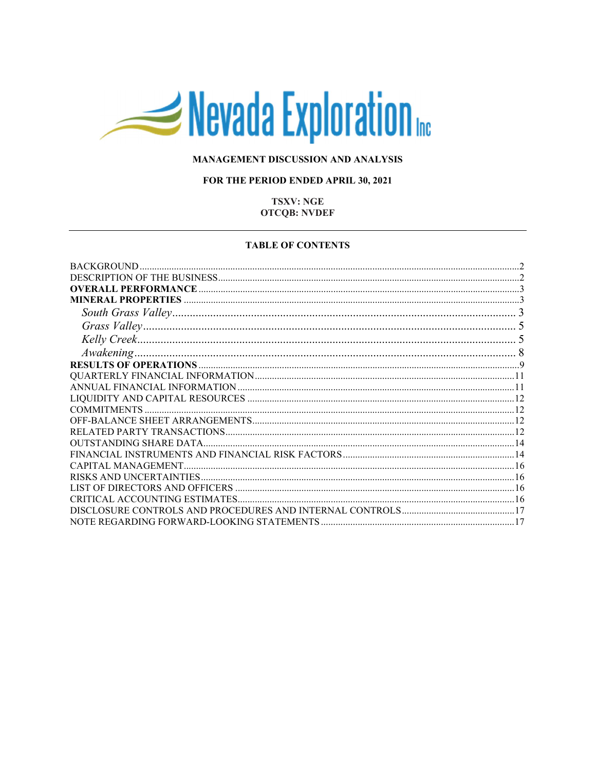# Nevada Exploration

## MANAGEMENT DISCUSSION AND ANALYSIS

## FOR THE PERIOD ENDED APRIL 30, 2021

## **TSXV: NGE OTCQB: NVDEF**

#### **TABLE OF CONTENTS**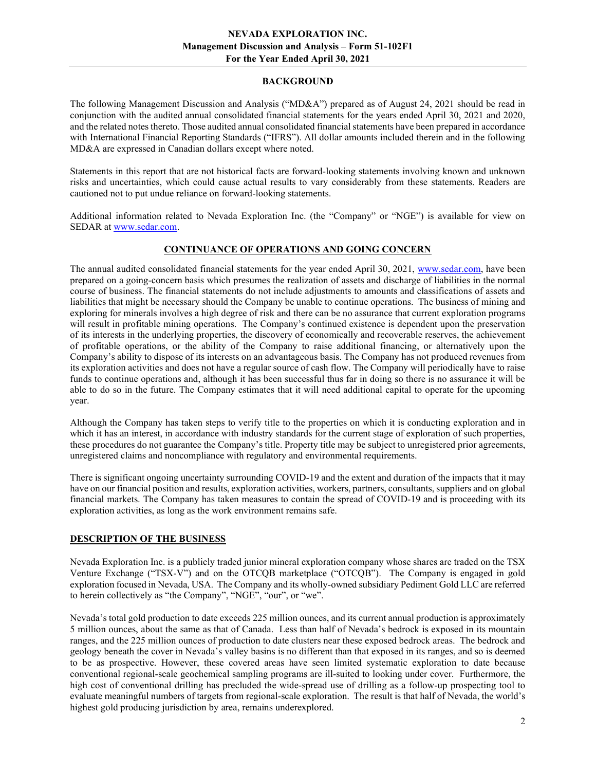#### BACKGROUND

The following Management Discussion and Analysis ("MD&A") prepared as of August 24, 2021 should be read in conjunction with the audited annual consolidated financial statements for the years ended April 30, 2021 and 2020, and the related notes thereto. Those audited annual consolidated financial statements have been prepared in accordance with International Financial Reporting Standards ("IFRS"). All dollar amounts included therein and in the following MD&A are expressed in Canadian dollars except where noted.

Statements in this report that are not historical facts are forward-looking statements involving known and unknown risks and uncertainties, which could cause actual results to vary considerably from these statements. Readers are cautioned not to put undue reliance on forward-looking statements.

Additional information related to Nevada Exploration Inc. (the "Company" or "NGE") is available for view on SEDAR at www.sedar.com.

# CONTINUANCE OF OPERATIONS AND GOING CONCERN

The annual audited consolidated financial statements for the year ended April 30, 2021, www.sedar.com, have been prepared on a going-concern basis which presumes the realization of assets and discharge of liabilities in the normal course of business. The financial statements do not include adjustments to amounts and classifications of assets and liabilities that might be necessary should the Company be unable to continue operations. The business of mining and exploring for minerals involves a high degree of risk and there can be no assurance that current exploration programs will result in profitable mining operations. The Company's continued existence is dependent upon the preservation of its interests in the underlying properties, the discovery of economically and recoverable reserves, the achievement of profitable operations, or the ability of the Company to raise additional financing, or alternatively upon the Company's ability to dispose of its interests on an advantageous basis. The Company has not produced revenues from its exploration activities and does not have a regular source of cash flow. The Company will periodically have to raise funds to continue operations and, although it has been successful thus far in doing so there is no assurance it will be able to do so in the future. The Company estimates that it will need additional capital to operate for the upcoming year.

Although the Company has taken steps to verify title to the properties on which it is conducting exploration and in which it has an interest, in accordance with industry standards for the current stage of exploration of such properties, these procedures do not guarantee the Company's title. Property title may be subject to unregistered prior agreements, unregistered claims and noncompliance with regulatory and environmental requirements.

There is significant ongoing uncertainty surrounding COVID-19 and the extent and duration of the impacts that it may have on our financial position and results, exploration activities, workers, partners, consultants, suppliers and on global financial markets. The Company has taken measures to contain the spread of COVID-19 and is proceeding with its exploration activities, as long as the work environment remains safe.

## DESCRIPTION OF THE BUSINESS

Nevada Exploration Inc. is a publicly traded junior mineral exploration company whose shares are traded on the TSX Venture Exchange ("TSX-V") and on the OTCQB marketplace ("OTCQB"). The Company is engaged in gold exploration focused in Nevada, USA. The Company and its wholly-owned subsidiary Pediment Gold LLC are referred to herein collectively as "the Company", "NGE", "our", or "we".

Nevada's total gold production to date exceeds 225 million ounces, and its current annual production is approximately 5 million ounces, about the same as that of Canada. Less than half of Nevada's bedrock is exposed in its mountain ranges, and the 225 million ounces of production to date clusters near these exposed bedrock areas. The bedrock and geology beneath the cover in Nevada's valley basins is no different than that exposed in its ranges, and so is deemed to be as prospective. However, these covered areas have seen limited systematic exploration to date because conventional regional-scale geochemical sampling programs are ill-suited to looking under cover. Furthermore, the high cost of conventional drilling has precluded the wide-spread use of drilling as a follow-up prospecting tool to evaluate meaningful numbers of targets from regional-scale exploration. The result is that half of Nevada, the world's highest gold producing jurisdiction by area, remains underexplored.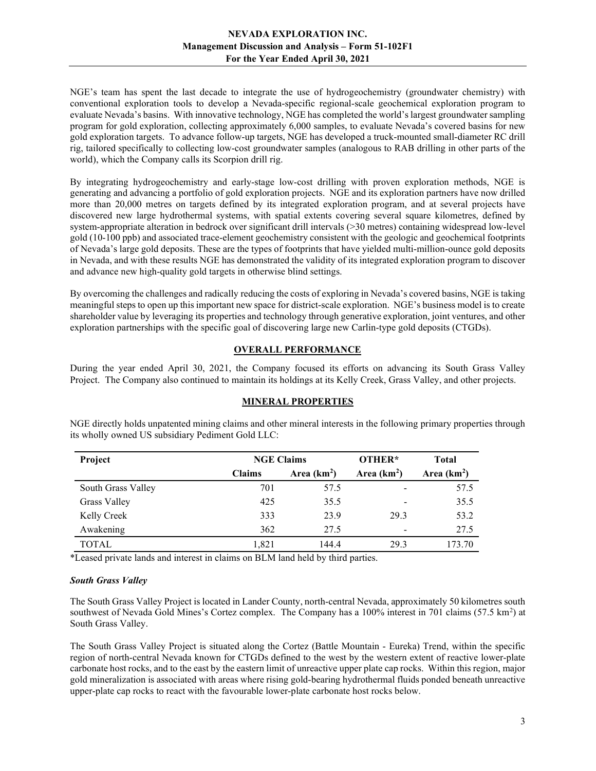NGE's team has spent the last decade to integrate the use of hydrogeochemistry (groundwater chemistry) with conventional exploration tools to develop a Nevada-specific regional-scale geochemical exploration program to evaluate Nevada's basins. With innovative technology, NGE has completed the world's largest groundwater sampling program for gold exploration, collecting approximately 6,000 samples, to evaluate Nevada's covered basins for new gold exploration targets. To advance follow-up targets, NGE has developed a truck-mounted small-diameter RC drill rig, tailored specifically to collecting low-cost groundwater samples (analogous to RAB drilling in other parts of the world), which the Company calls its Scorpion drill rig.

By integrating hydrogeochemistry and early-stage low-cost drilling with proven exploration methods, NGE is generating and advancing a portfolio of gold exploration projects. NGE and its exploration partners have now drilled more than 20,000 metres on targets defined by its integrated exploration program, and at several projects have discovered new large hydrothermal systems, with spatial extents covering several square kilometres, defined by system-appropriate alteration in bedrock over significant drill intervals (>30 metres) containing widespread low-level gold (10-100 ppb) and associated trace-element geochemistry consistent with the geologic and geochemical footprints of Nevada's large gold deposits. These are the types of footprints that have yielded multi-million-ounce gold deposits in Nevada, and with these results NGE has demonstrated the validity of its integrated exploration program to discover and advance new high-quality gold targets in otherwise blind settings.

By overcoming the challenges and radically reducing the costs of exploring in Nevada's covered basins, NGE is taking meaningful steps to open up this important new space for district-scale exploration. NGE's business model is to create shareholder value by leveraging its properties and technology through generative exploration, joint ventures, and other exploration partnerships with the specific goal of discovering large new Carlin-type gold deposits (CTGDs).

# OVERALL PERFORMANCE

During the year ended April 30, 2021, the Company focused its efforts on advancing its South Grass Valley Project. The Company also continued to maintain its holdings at its Kelly Creek, Grass Valley, and other projects.

## MINERAL PROPERTIES

| Project             | <b>NGE Claims</b> |              | OTHER*                   | <b>Total</b> |
|---------------------|-------------------|--------------|--------------------------|--------------|
|                     | <b>Claims</b>     | Area $(km2)$ | Area $(km2)$             | Area $(km2)$ |
| South Grass Valley  | 701               | 57.5         | -                        | 57.5         |
| <b>Grass Valley</b> | 425               | 35.5         | $\overline{\phantom{a}}$ | 35.5         |
| Kelly Creek         | 333               | 23.9         | 29.3                     | 53.2         |
| Awakening           | 362               | 27.5         | $\overline{\phantom{a}}$ | 27.5         |
| <b>TOTAL</b>        | 1,821             | 144.4        | 29.3                     | 173.70       |

NGE directly holds unpatented mining claims and other mineral interests in the following primary properties through its wholly owned US subsidiary Pediment Gold LLC:

\*Leased private lands and interest in claims on BLM land held by third parties.

#### South Grass Valley

The South Grass Valley Project is located in Lander County, north-central Nevada, approximately 50 kilometres south southwest of Nevada Gold Mines's Cortez complex. The Company has a  $100\%$  interest in 701 claims (57.5 km<sup>2</sup>) at South Grass Valley.

The South Grass Valley Project is situated along the Cortez (Battle Mountain - Eureka) Trend, within the specific region of north-central Nevada known for CTGDs defined to the west by the western extent of reactive lower-plate carbonate host rocks, and to the east by the eastern limit of unreactive upper plate cap rocks. Within this region, major gold mineralization is associated with areas where rising gold-bearing hydrothermal fluids ponded beneath unreactive upper-plate cap rocks to react with the favourable lower-plate carbonate host rocks below.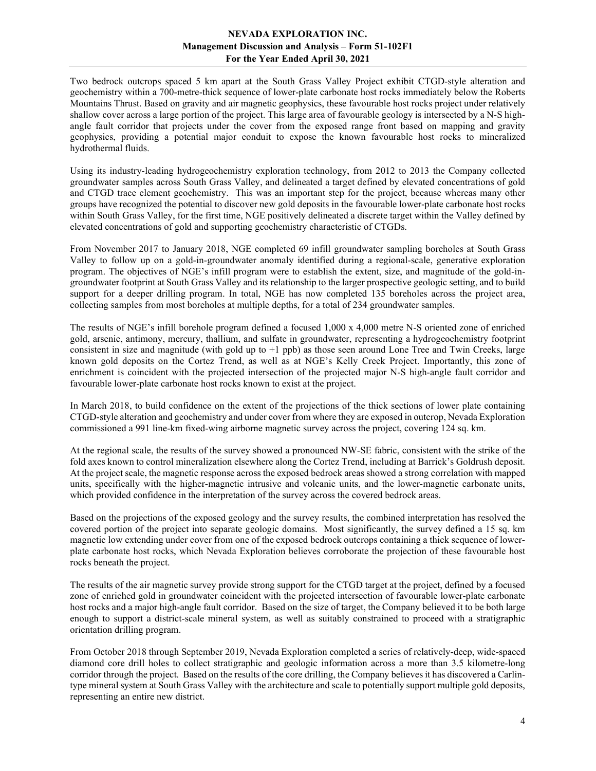Two bedrock outcrops spaced 5 km apart at the South Grass Valley Project exhibit CTGD-style alteration and geochemistry within a 700-metre-thick sequence of lower-plate carbonate host rocks immediately below the Roberts Mountains Thrust. Based on gravity and air magnetic geophysics, these favourable host rocks project under relatively shallow cover across a large portion of the project. This large area of favourable geology is intersected by a N-S highangle fault corridor that projects under the cover from the exposed range front based on mapping and gravity geophysics, providing a potential major conduit to expose the known favourable host rocks to mineralized hydrothermal fluids.

Using its industry-leading hydrogeochemistry exploration technology, from 2012 to 2013 the Company collected groundwater samples across South Grass Valley, and delineated a target defined by elevated concentrations of gold and CTGD trace element geochemistry. This was an important step for the project, because whereas many other groups have recognized the potential to discover new gold deposits in the favourable lower-plate carbonate host rocks within South Grass Valley, for the first time, NGE positively delineated a discrete target within the Valley defined by elevated concentrations of gold and supporting geochemistry characteristic of CTGDs.

From November 2017 to January 2018, NGE completed 69 infill groundwater sampling boreholes at South Grass Valley to follow up on a gold-in-groundwater anomaly identified during a regional-scale, generative exploration program. The objectives of NGE's infill program were to establish the extent, size, and magnitude of the gold-ingroundwater footprint at South Grass Valley and its relationship to the larger prospective geologic setting, and to build support for a deeper drilling program. In total, NGE has now completed 135 boreholes across the project area, collecting samples from most boreholes at multiple depths, for a total of 234 groundwater samples.

The results of NGE's infill borehole program defined a focused 1,000 x 4,000 metre N-S oriented zone of enriched gold, arsenic, antimony, mercury, thallium, and sulfate in groundwater, representing a hydrogeochemistry footprint consistent in size and magnitude (with gold up to +1 ppb) as those seen around Lone Tree and Twin Creeks, large known gold deposits on the Cortez Trend, as well as at NGE's Kelly Creek Project. Importantly, this zone of enrichment is coincident with the projected intersection of the projected major N-S high-angle fault corridor and favourable lower-plate carbonate host rocks known to exist at the project.

In March 2018, to build confidence on the extent of the projections of the thick sections of lower plate containing CTGD-style alteration and geochemistry and under cover from where they are exposed in outcrop, Nevada Exploration commissioned a 991 line-km fixed-wing airborne magnetic survey across the project, covering 124 sq. km.

At the regional scale, the results of the survey showed a pronounced NW-SE fabric, consistent with the strike of the fold axes known to control mineralization elsewhere along the Cortez Trend, including at Barrick's Goldrush deposit. At the project scale, the magnetic response across the exposed bedrock areas showed a strong correlation with mapped units, specifically with the higher-magnetic intrusive and volcanic units, and the lower-magnetic carbonate units, which provided confidence in the interpretation of the survey across the covered bedrock areas.

Based on the projections of the exposed geology and the survey results, the combined interpretation has resolved the covered portion of the project into separate geologic domains. Most significantly, the survey defined a 15 sq. km magnetic low extending under cover from one of the exposed bedrock outcrops containing a thick sequence of lowerplate carbonate host rocks, which Nevada Exploration believes corroborate the projection of these favourable host rocks beneath the project.

The results of the air magnetic survey provide strong support for the CTGD target at the project, defined by a focused zone of enriched gold in groundwater coincident with the projected intersection of favourable lower-plate carbonate host rocks and a major high-angle fault corridor. Based on the size of target, the Company believed it to be both large enough to support a district-scale mineral system, as well as suitably constrained to proceed with a stratigraphic orientation drilling program.

From October 2018 through September 2019, Nevada Exploration completed a series of relatively-deep, wide-spaced diamond core drill holes to collect stratigraphic and geologic information across a more than 3.5 kilometre-long corridor through the project. Based on the results of the core drilling, the Company believes it has discovered a Carlintype mineral system at South Grass Valley with the architecture and scale to potentially support multiple gold deposits, representing an entire new district.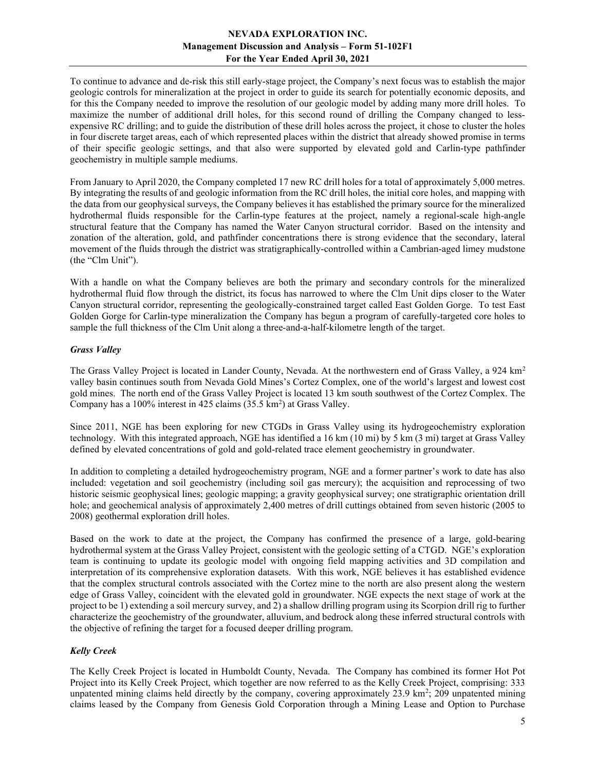To continue to advance and de-risk this still early-stage project, the Company's next focus was to establish the major geologic controls for mineralization at the project in order to guide its search for potentially economic deposits, and for this the Company needed to improve the resolution of our geologic model by adding many more drill holes. To maximize the number of additional drill holes, for this second round of drilling the Company changed to lessexpensive RC drilling; and to guide the distribution of these drill holes across the project, it chose to cluster the holes in four discrete target areas, each of which represented places within the district that already showed promise in terms of their specific geologic settings, and that also were supported by elevated gold and Carlin-type pathfinder geochemistry in multiple sample mediums.

From January to April 2020, the Company completed 17 new RC drill holes for a total of approximately 5,000 metres. By integrating the results of and geologic information from the RC drill holes, the initial core holes, and mapping with the data from our geophysical surveys, the Company believes it has established the primary source for the mineralized hydrothermal fluids responsible for the Carlin-type features at the project, namely a regional-scale high-angle structural feature that the Company has named the Water Canyon structural corridor. Based on the intensity and zonation of the alteration, gold, and pathfinder concentrations there is strong evidence that the secondary, lateral movement of the fluids through the district was stratigraphically-controlled within a Cambrian-aged limey mudstone (the "Clm Unit").

With a handle on what the Company believes are both the primary and secondary controls for the mineralized hydrothermal fluid flow through the district, its focus has narrowed to where the Clm Unit dips closer to the Water Canyon structural corridor, representing the geologically-constrained target called East Golden Gorge. To test East Golden Gorge for Carlin-type mineralization the Company has begun a program of carefully-targeted core holes to sample the full thickness of the Clm Unit along a three-and-a-half-kilometre length of the target.

#### Grass Valley

The Grass Valley Project is located in Lander County, Nevada. At the northwestern end of Grass Valley, a 924 km<sup>2</sup> valley basin continues south from Nevada Gold Mines's Cortez Complex, one of the world's largest and lowest cost gold mines. The north end of the Grass Valley Project is located 13 km south southwest of the Cortez Complex. The Company has a  $100\%$  interest in 425 claims (35.5 km<sup>2</sup>) at Grass Valley.

Since 2011, NGE has been exploring for new CTGDs in Grass Valley using its hydrogeochemistry exploration technology. With this integrated approach, NGE has identified a 16 km (10 mi) by 5 km (3 mi) target at Grass Valley defined by elevated concentrations of gold and gold-related trace element geochemistry in groundwater.

In addition to completing a detailed hydrogeochemistry program, NGE and a former partner's work to date has also included: vegetation and soil geochemistry (including soil gas mercury); the acquisition and reprocessing of two historic seismic geophysical lines; geologic mapping; a gravity geophysical survey; one stratigraphic orientation drill hole; and geochemical analysis of approximately 2,400 metres of drill cuttings obtained from seven historic (2005 to 2008) geothermal exploration drill holes.

Based on the work to date at the project, the Company has confirmed the presence of a large, gold-bearing hydrothermal system at the Grass Valley Project, consistent with the geologic setting of a CTGD. NGE's exploration team is continuing to update its geologic model with ongoing field mapping activities and 3D compilation and interpretation of its comprehensive exploration datasets. With this work, NGE believes it has established evidence that the complex structural controls associated with the Cortez mine to the north are also present along the western edge of Grass Valley, coincident with the elevated gold in groundwater. NGE expects the next stage of work at the project to be 1) extending a soil mercury survey, and 2) a shallow drilling program using its Scorpion drill rig to further characterize the geochemistry of the groundwater, alluvium, and bedrock along these inferred structural controls with the objective of refining the target for a focused deeper drilling program.

## Kelly Creek

The Kelly Creek Project is located in Humboldt County, Nevada. The Company has combined its former Hot Pot Project into its Kelly Creek Project, which together are now referred to as the Kelly Creek Project, comprising: 333 unpatented mining claims held directly by the company, covering approximately 23.9 km<sup>2</sup>; 209 unpatented mining claims leased by the Company from Genesis Gold Corporation through a Mining Lease and Option to Purchase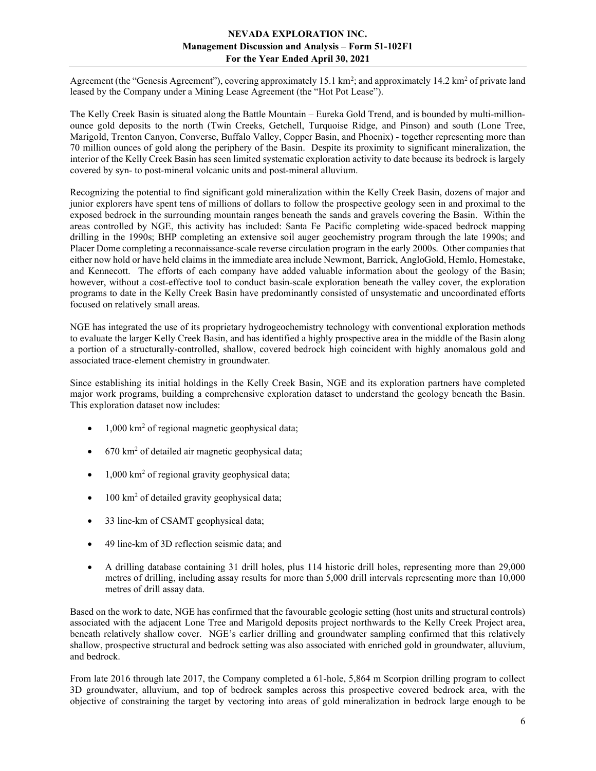Agreement (the "Genesis Agreement"), covering approximately  $15.1 \text{ km}^2$ ; and approximately  $14.2 \text{ km}^2$  of private land leased by the Company under a Mining Lease Agreement (the "Hot Pot Lease").

The Kelly Creek Basin is situated along the Battle Mountain – Eureka Gold Trend, and is bounded by multi-millionounce gold deposits to the north (Twin Creeks, Getchell, Turquoise Ridge, and Pinson) and south (Lone Tree, Marigold, Trenton Canyon, Converse, Buffalo Valley, Copper Basin, and Phoenix) - together representing more than 70 million ounces of gold along the periphery of the Basin. Despite its proximity to significant mineralization, the interior of the Kelly Creek Basin has seen limited systematic exploration activity to date because its bedrock is largely covered by syn- to post-mineral volcanic units and post-mineral alluvium.

Recognizing the potential to find significant gold mineralization within the Kelly Creek Basin, dozens of major and junior explorers have spent tens of millions of dollars to follow the prospective geology seen in and proximal to the exposed bedrock in the surrounding mountain ranges beneath the sands and gravels covering the Basin. Within the areas controlled by NGE, this activity has included: Santa Fe Pacific completing wide-spaced bedrock mapping drilling in the 1990s; BHP completing an extensive soil auger geochemistry program through the late 1990s; and Placer Dome completing a reconnaissance-scale reverse circulation program in the early 2000s. Other companies that either now hold or have held claims in the immediate area include Newmont, Barrick, AngloGold, Hemlo, Homestake, and Kennecott. The efforts of each company have added valuable information about the geology of the Basin; however, without a cost-effective tool to conduct basin-scale exploration beneath the valley cover, the exploration programs to date in the Kelly Creek Basin have predominantly consisted of unsystematic and uncoordinated efforts focused on relatively small areas.

NGE has integrated the use of its proprietary hydrogeochemistry technology with conventional exploration methods to evaluate the larger Kelly Creek Basin, and has identified a highly prospective area in the middle of the Basin along a portion of a structurally-controlled, shallow, covered bedrock high coincident with highly anomalous gold and associated trace-element chemistry in groundwater.

Since establishing its initial holdings in the Kelly Creek Basin, NGE and its exploration partners have completed major work programs, building a comprehensive exploration dataset to understand the geology beneath the Basin. This exploration dataset now includes:

- 1,000 km<sup>2</sup> of regional magnetic geophysical data;
- 670 km<sup>2</sup> of detailed air magnetic geophysical data;
- 1,000 km<sup>2</sup> of regional gravity geophysical data;
- 100 km<sup>2</sup> of detailed gravity geophysical data;
- 33 line-km of CSAMT geophysical data;
- 49 line-km of 3D reflection seismic data; and
- A drilling database containing 31 drill holes, plus 114 historic drill holes, representing more than 29,000 metres of drilling, including assay results for more than 5,000 drill intervals representing more than 10,000 metres of drill assay data.

Based on the work to date, NGE has confirmed that the favourable geologic setting (host units and structural controls) associated with the adjacent Lone Tree and Marigold deposits project northwards to the Kelly Creek Project area, beneath relatively shallow cover. NGE's earlier drilling and groundwater sampling confirmed that this relatively shallow, prospective structural and bedrock setting was also associated with enriched gold in groundwater, alluvium, and bedrock.

From late 2016 through late 2017, the Company completed a 61-hole, 5,864 m Scorpion drilling program to collect 3D groundwater, alluvium, and top of bedrock samples across this prospective covered bedrock area, with the objective of constraining the target by vectoring into areas of gold mineralization in bedrock large enough to be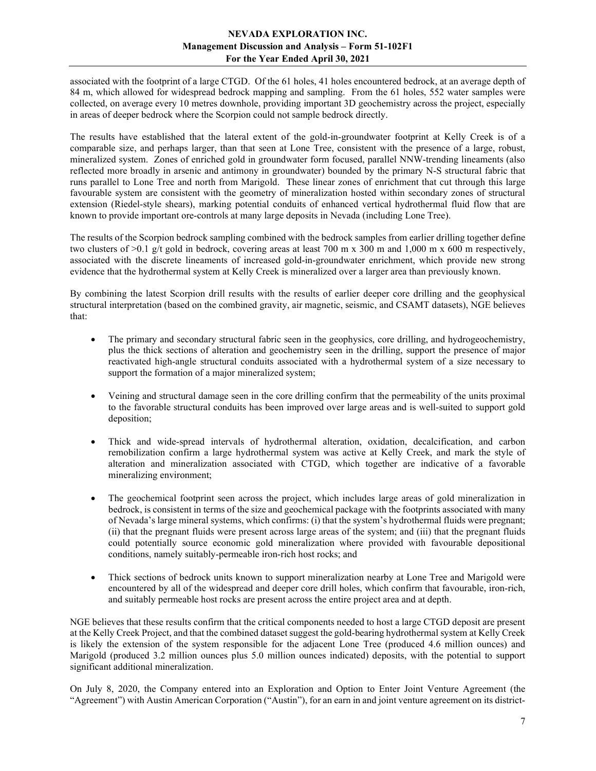associated with the footprint of a large CTGD. Of the 61 holes, 41 holes encountered bedrock, at an average depth of 84 m, which allowed for widespread bedrock mapping and sampling. From the 61 holes, 552 water samples were collected, on average every 10 metres downhole, providing important 3D geochemistry across the project, especially in areas of deeper bedrock where the Scorpion could not sample bedrock directly.

The results have established that the lateral extent of the gold-in-groundwater footprint at Kelly Creek is of a comparable size, and perhaps larger, than that seen at Lone Tree, consistent with the presence of a large, robust, mineralized system. Zones of enriched gold in groundwater form focused, parallel NNW-trending lineaments (also reflected more broadly in arsenic and antimony in groundwater) bounded by the primary N-S structural fabric that runs parallel to Lone Tree and north from Marigold. These linear zones of enrichment that cut through this large favourable system are consistent with the geometry of mineralization hosted within secondary zones of structural extension (Riedel-style shears), marking potential conduits of enhanced vertical hydrothermal fluid flow that are known to provide important ore-controls at many large deposits in Nevada (including Lone Tree).

The results of the Scorpion bedrock sampling combined with the bedrock samples from earlier drilling together define two clusters of  $>0.1$  g/t gold in bedrock, covering areas at least 700 m x 300 m and 1,000 m x 600 m respectively, associated with the discrete lineaments of increased gold-in-groundwater enrichment, which provide new strong evidence that the hydrothermal system at Kelly Creek is mineralized over a larger area than previously known.

By combining the latest Scorpion drill results with the results of earlier deeper core drilling and the geophysical structural interpretation (based on the combined gravity, air magnetic, seismic, and CSAMT datasets), NGE believes that:

- The primary and secondary structural fabric seen in the geophysics, core drilling, and hydrogeochemistry, plus the thick sections of alteration and geochemistry seen in the drilling, support the presence of major reactivated high-angle structural conduits associated with a hydrothermal system of a size necessary to support the formation of a major mineralized system;
- Veining and structural damage seen in the core drilling confirm that the permeability of the units proximal to the favorable structural conduits has been improved over large areas and is well-suited to support gold deposition;
- Thick and wide-spread intervals of hydrothermal alteration, oxidation, decalcification, and carbon remobilization confirm a large hydrothermal system was active at Kelly Creek, and mark the style of alteration and mineralization associated with CTGD, which together are indicative of a favorable mineralizing environment;
- The geochemical footprint seen across the project, which includes large areas of gold mineralization in bedrock, is consistent in terms of the size and geochemical package with the footprints associated with many of Nevada's large mineral systems, which confirms: (i) that the system's hydrothermal fluids were pregnant; (ii) that the pregnant fluids were present across large areas of the system; and (iii) that the pregnant fluids could potentially source economic gold mineralization where provided with favourable depositional conditions, namely suitably-permeable iron-rich host rocks; and
- Thick sections of bedrock units known to support mineralization nearby at Lone Tree and Marigold were encountered by all of the widespread and deeper core drill holes, which confirm that favourable, iron-rich, and suitably permeable host rocks are present across the entire project area and at depth.

NGE believes that these results confirm that the critical components needed to host a large CTGD deposit are present at the Kelly Creek Project, and that the combined dataset suggest the gold-bearing hydrothermal system at Kelly Creek is likely the extension of the system responsible for the adjacent Lone Tree (produced 4.6 million ounces) and Marigold (produced 3.2 million ounces plus 5.0 million ounces indicated) deposits, with the potential to support significant additional mineralization.

On July 8, 2020, the Company entered into an Exploration and Option to Enter Joint Venture Agreement (the "Agreement") with Austin American Corporation ("Austin"), for an earn in and joint venture agreement on its district-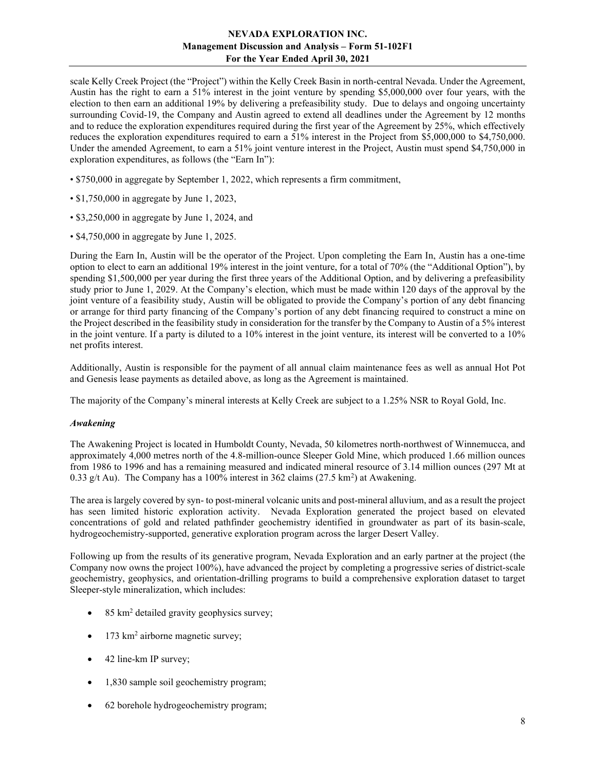scale Kelly Creek Project (the "Project") within the Kelly Creek Basin in north-central Nevada. Under the Agreement, Austin has the right to earn a 51% interest in the joint venture by spending \$5,000,000 over four years, with the election to then earn an additional 19% by delivering a prefeasibility study. Due to delays and ongoing uncertainty surrounding Covid-19, the Company and Austin agreed to extend all deadlines under the Agreement by 12 months and to reduce the exploration expenditures required during the first year of the Agreement by 25%, which effectively reduces the exploration expenditures required to earn a 51% interest in the Project from \$5,000,000 to \$4,750,000. Under the amended Agreement, to earn a 51% joint venture interest in the Project, Austin must spend \$4,750,000 in exploration expenditures, as follows (the "Earn In"):

- \$750,000 in aggregate by September 1, 2022, which represents a firm commitment,
- \$1,750,000 in aggregate by June 1, 2023,
- \$3,250,000 in aggregate by June 1, 2024, and
- \$4,750,000 in aggregate by June 1, 2025.

During the Earn In, Austin will be the operator of the Project. Upon completing the Earn In, Austin has a one-time option to elect to earn an additional 19% interest in the joint venture, for a total of 70% (the "Additional Option"), by spending \$1,500,000 per year during the first three years of the Additional Option, and by delivering a prefeasibility study prior to June 1, 2029. At the Company's election, which must be made within 120 days of the approval by the joint venture of a feasibility study, Austin will be obligated to provide the Company's portion of any debt financing or arrange for third party financing of the Company's portion of any debt financing required to construct a mine on the Project described in the feasibility study in consideration for the transfer by the Company to Austin of a 5% interest in the joint venture. If a party is diluted to a 10% interest in the joint venture, its interest will be converted to a 10% net profits interest.

Additionally, Austin is responsible for the payment of all annual claim maintenance fees as well as annual Hot Pot and Genesis lease payments as detailed above, as long as the Agreement is maintained.

The majority of the Company's mineral interests at Kelly Creek are subject to a 1.25% NSR to Royal Gold, Inc.

#### Awakening

The Awakening Project is located in Humboldt County, Nevada, 50 kilometres north-northwest of Winnemucca, and approximately 4,000 metres north of the 4.8-million-ounce Sleeper Gold Mine, which produced 1.66 million ounces from 1986 to 1996 and has a remaining measured and indicated mineral resource of 3.14 million ounces (297 Mt at 0.33 g/t Au). The Company has a 100% interest in 362 claims  $(27.5 \text{ km}^2)$  at Awakening.

The area is largely covered by syn- to post-mineral volcanic units and post-mineral alluvium, and as a result the project has seen limited historic exploration activity. Nevada Exploration generated the project based on elevated concentrations of gold and related pathfinder geochemistry identified in groundwater as part of its basin-scale, hydrogeochemistry-supported, generative exploration program across the larger Desert Valley.

Following up from the results of its generative program, Nevada Exploration and an early partner at the project (the Company now owns the project 100%), have advanced the project by completing a progressive series of district-scale geochemistry, geophysics, and orientation-drilling programs to build a comprehensive exploration dataset to target Sleeper-style mineralization, which includes:

- $\bullet$  85 km<sup>2</sup> detailed gravity geophysics survey;
- $\bullet$  173 km<sup>2</sup> airborne magnetic survey;
- 42 line-km IP survey;
- 1,830 sample soil geochemistry program;
- 62 borehole hydrogeochemistry program;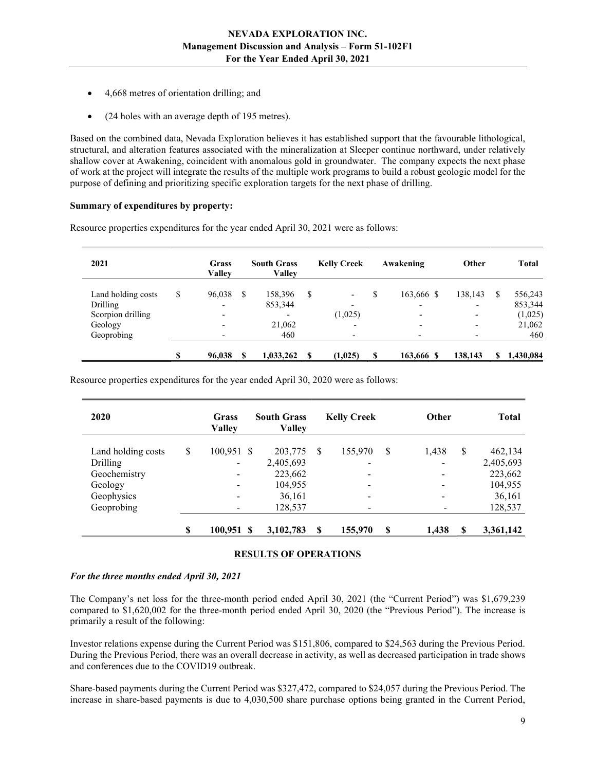- 4,668 metres of orientation drilling; and
- (24 holes with an average depth of 195 metres).

Based on the combined data, Nevada Exploration believes it has established support that the favourable lithological, structural, and alteration features associated with the mineralization at Sleeper continue northward, under relatively shallow cover at Awakening, coincident with anomalous gold in groundwater. The company expects the next phase of work at the project will integrate the results of the multiple work programs to build a robust geologic model for the purpose of defining and prioritizing specific exploration targets for the next phase of drilling.

#### Summary of expenditures by property:

| 2021               | <b>Grass</b><br><b>Valley</b> |    | <b>South Grass</b><br><b>Valley</b> |     | <b>Kelly Creek</b>       | Awakening                | Other                    |    | <b>Total</b> |
|--------------------|-------------------------------|----|-------------------------------------|-----|--------------------------|--------------------------|--------------------------|----|--------------|
| Land holding costs | \$<br>96,038                  | -S | 158,396                             | S   | $\overline{\phantom{a}}$ | \$<br>163,666 \$         | 138,143                  | S  | 556,243      |
| Drilling           | $\overline{\phantom{0}}$      |    | 853,344                             |     | $\overline{\phantom{0}}$ | -                        | -                        |    | 853,344      |
| Scorpion drilling  | -                             |    |                                     |     | (1,025)                  | $\overline{\phantom{0}}$ | -                        |    | (1,025)      |
| Geology            | -                             |    | 21,062                              |     | $\overline{\phantom{a}}$ | $\overline{\phantom{0}}$ | $\overline{\phantom{a}}$ |    | 21,062       |
| Geoprobing         | $\overline{\phantom{0}}$      |    | 460                                 |     | $\overline{\phantom{a}}$ |                          |                          |    | 460          |
|                    | \$<br>96,038                  | -S | 1,033,262                           | \$. | (1,025)                  | \$<br>163,666 \$         | 138,143                  | \$ | 1,430,084    |

Resource properties expenditures for the year ended April 30, 2021 were as follows:

Resource properties expenditures for the year ended April 30, 2020 were as follows:

| 2020               |    | Grass<br><b>Valley</b>   | <b>South Grass</b><br><b>Valley</b> |               | <b>Kelly Creek</b>           |   | <b>Other</b> |    | <b>Total</b> |
|--------------------|----|--------------------------|-------------------------------------|---------------|------------------------------|---|--------------|----|--------------|
| Land holding costs | \$ | $100,951$ \$             | 203,775                             | <sup>\$</sup> | 155,970                      | S | 1,438        | \$ | 462,134      |
| Drilling           |    | -                        | 2,405,693                           |               | $\overline{\phantom{a}}$     |   |              |    | 2,405,693    |
| Geochemistry       |    | $\overline{\phantom{a}}$ | 223,662                             |               | $\qquad \qquad \blacksquare$ |   |              |    | 223,662      |
| Geology            |    | $\overline{\phantom{a}}$ | 104,955                             |               | $\overline{\phantom{a}}$     |   |              |    | 104,955      |
| Geophysics         |    | $\overline{\phantom{a}}$ | 36,161                              |               | $\overline{\phantom{a}}$     |   |              |    | 36,161       |
| Geoprobing         |    | -                        | 128,537                             |               | $\overline{\phantom{a}}$     |   |              |    | 128,537      |
|                    | S  | $100,951$ \$             | 3,102,783                           | \$            | 155,970                      | S | 1,438        | S  | 3,361,142    |

## RESULTS OF OPERATIONS

## For the three months ended April 30, 2021

The Company's net loss for the three-month period ended April 30, 2021 (the "Current Period") was \$1,679,239 compared to \$1,620,002 for the three-month period ended April 30, 2020 (the "Previous Period"). The increase is primarily a result of the following:

Investor relations expense during the Current Period was \$151,806, compared to \$24,563 during the Previous Period. During the Previous Period, there was an overall decrease in activity, as well as decreased participation in trade shows and conferences due to the COVID19 outbreak.

Share-based payments during the Current Period was \$327,472, compared to \$24,057 during the Previous Period. The increase in share-based payments is due to 4,030,500 share purchase options being granted in the Current Period,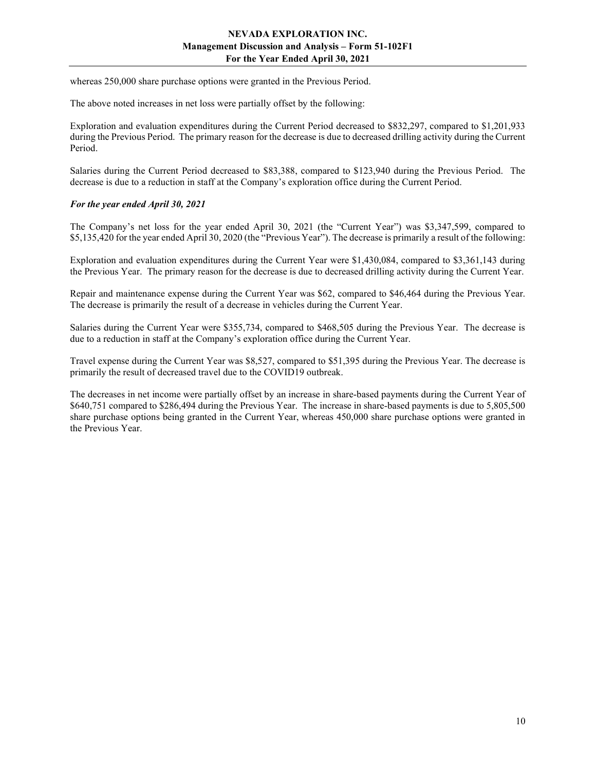whereas 250,000 share purchase options were granted in the Previous Period.

The above noted increases in net loss were partially offset by the following:

Exploration and evaluation expenditures during the Current Period decreased to \$832,297, compared to \$1,201,933 during the Previous Period. The primary reason for the decrease is due to decreased drilling activity during the Current Period.

Salaries during the Current Period decreased to \$83,388, compared to \$123,940 during the Previous Period. The decrease is due to a reduction in staff at the Company's exploration office during the Current Period.

## For the year ended April 30, 2021

The Company's net loss for the year ended April 30, 2021 (the "Current Year") was \$3,347,599, compared to \$5,135,420 for the year ended April 30, 2020 (the "Previous Year"). The decrease is primarily a result of the following:

Exploration and evaluation expenditures during the Current Year were \$1,430,084, compared to \$3,361,143 during the Previous Year. The primary reason for the decrease is due to decreased drilling activity during the Current Year.

Repair and maintenance expense during the Current Year was \$62, compared to \$46,464 during the Previous Year. The decrease is primarily the result of a decrease in vehicles during the Current Year.

Salaries during the Current Year were \$355,734, compared to \$468,505 during the Previous Year. The decrease is due to a reduction in staff at the Company's exploration office during the Current Year.

Travel expense during the Current Year was \$8,527, compared to \$51,395 during the Previous Year. The decrease is primarily the result of decreased travel due to the COVID19 outbreak.

The decreases in net income were partially offset by an increase in share-based payments during the Current Year of \$640,751 compared to \$286,494 during the Previous Year. The increase in share-based payments is due to 5,805,500 share purchase options being granted in the Current Year, whereas 450,000 share purchase options were granted in the Previous Year.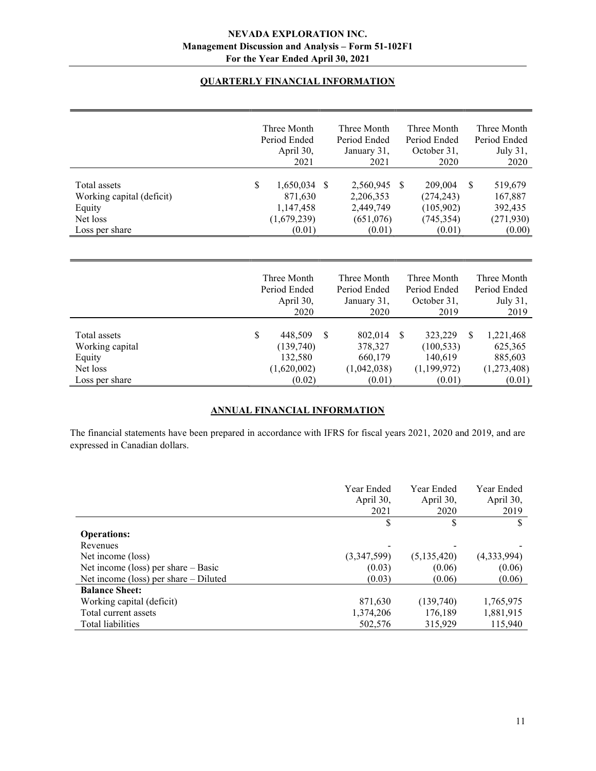# QUARTERLY FINANCIAL INFORMATION

|                           | Three Month     |               | Three Month  |               | Three Month  |               | Three Month  |
|---------------------------|-----------------|---------------|--------------|---------------|--------------|---------------|--------------|
|                           | Period Ended    |               | Period Ended |               | Period Ended |               | Period Ended |
|                           | April 30,       |               | January 31,  |               | October 31,  |               | July 31,     |
|                           | 2021            |               | 2021         |               | 2020         |               | 2020         |
|                           |                 |               |              |               |              |               |              |
| Total assets              | \$<br>1,650,034 | <sup>\$</sup> | 2,560,945    | <sup>\$</sup> | 209,004      | S.            | 519,679      |
| Working capital (deficit) | 871,630         |               | 2,206,353    |               | (274, 243)   |               | 167,887      |
| Equity                    | 1,147,458       |               | 2,449,749    |               | (105,902)    |               | 392,435      |
| Net loss                  | (1,679,239)     |               | (651,076)    |               | (745, 354)   |               | (271, 930)   |
| Loss per share            | (0.01)          |               | (0.01)       |               | (0.01)       |               | (0.00)       |
|                           |                 |               |              |               |              |               |              |
|                           |                 |               |              |               |              |               |              |
|                           |                 |               |              |               |              |               |              |
|                           | Three Month     |               | Three Month  |               | Three Month  |               | Three Month  |
|                           | Period Ended    |               | Period Ended |               | Period Ended |               | Period Ended |
|                           | April 30,       |               | January 31,  |               | October 31,  |               | July 31,     |
|                           | 2020            |               | 2020         |               | 2019         |               | 2019         |
|                           |                 |               |              |               |              |               |              |
| Total assets              | \$<br>448,509   | S             | 802,014      | <sup>\$</sup> | 323,229      | <sup>\$</sup> | 1,221,468    |
| Working capital           | (139,740)       |               | 378,327      |               | (100, 533)   |               | 625,365      |
| Equity                    | 132,580         |               | 660,179      |               | 140,619      |               | 885,603      |
| Net loss                  | (1,620,002)     |               | (1,042,038)  |               | (1,199,972)  |               | (1,273,408)  |

# ANNUAL FINANCIAL INFORMATION

Loss per share (0.02) (0.01) (0.01) (0.01) (0.01)

The financial statements have been prepared in accordance with IFRS for fiscal years 2021, 2020 and 2019, and are expressed in Canadian dollars.

|                                         | Year Ended<br>April 30,<br>2021 | Year Ended<br>April 30,<br>2020 | Year Ended<br>April 30,<br>2019 |
|-----------------------------------------|---------------------------------|---------------------------------|---------------------------------|
|                                         | \$                              | S                               |                                 |
| <b>Operations:</b>                      |                                 |                                 |                                 |
| Revenues                                |                                 |                                 |                                 |
| Net income (loss)                       | (3,347,599)                     | (5,135,420)                     | (4,333,994)                     |
| Net income (loss) per share $-$ Basic   | (0.03)                          | (0.06)                          | (0.06)                          |
| Net income (loss) per share $-$ Diluted | (0.03)                          | (0.06)                          | (0.06)                          |
| <b>Balance Sheet:</b>                   |                                 |                                 |                                 |
| Working capital (deficit)               | 871,630                         | (139,740)                       | 1,765,975                       |
| Total current assets                    | 1,374,206                       | 176,189                         | 1,881,915                       |
| Total liabilities                       | 502,576                         | 315,929                         | 115,940                         |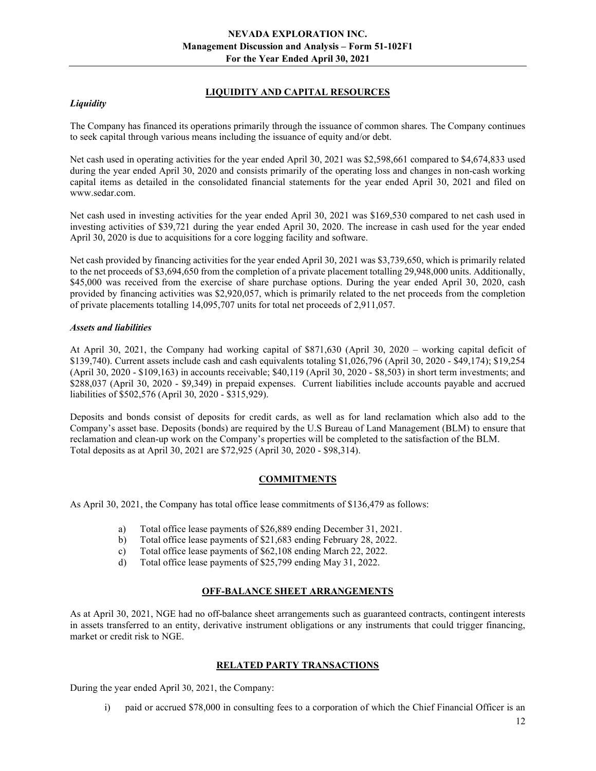# LIQUIDITY AND CAPITAL RESOURCES

## **Liquidity**

The Company has financed its operations primarily through the issuance of common shares. The Company continues to seek capital through various means including the issuance of equity and/or debt.

Net cash used in operating activities for the year ended April 30, 2021 was \$2,598,661 compared to \$4,674,833 used during the year ended April 30, 2020 and consists primarily of the operating loss and changes in non-cash working capital items as detailed in the consolidated financial statements for the year ended April 30, 2021 and filed on www.sedar.com.

Net cash used in investing activities for the year ended April 30, 2021 was \$169,530 compared to net cash used in investing activities of \$39,721 during the year ended April 30, 2020. The increase in cash used for the year ended April 30, 2020 is due to acquisitions for a core logging facility and software.

Net cash provided by financing activities for the year ended April 30, 2021 was \$3,739,650, which is primarily related to the net proceeds of \$3,694,650 from the completion of a private placement totalling 29,948,000 units. Additionally, \$45,000 was received from the exercise of share purchase options. During the year ended April 30, 2020, cash provided by financing activities was \$2,920,057, which is primarily related to the net proceeds from the completion of private placements totalling 14,095,707 units for total net proceeds of 2,911,057.

## Assets and liabilities

At April 30, 2021, the Company had working capital of \$871,630 (April 30, 2020 – working capital deficit of \$139,740). Current assets include cash and cash equivalents totaling \$1,026,796 (April 30, 2020 - \$49,174); \$19,254 (April 30, 2020 - \$109,163) in accounts receivable; \$40,119 (April 30, 2020 - \$8,503) in short term investments; and \$288,037 (April 30, 2020 - \$9,349) in prepaid expenses. Current liabilities include accounts payable and accrued liabilities of \$502,576 (April 30, 2020 - \$315,929).

Deposits and bonds consist of deposits for credit cards, as well as for land reclamation which also add to the Company's asset base. Deposits (bonds) are required by the U.S Bureau of Land Management (BLM) to ensure that reclamation and clean-up work on the Company's properties will be completed to the satisfaction of the BLM. Total deposits as at April 30, 2021 are \$72,925 (April 30, 2020 - \$98,314).

# COMMITMENTS

As April 30, 2021, the Company has total office lease commitments of \$136,479 as follows:

- a) Total office lease payments of \$26,889 ending December 31, 2021.
- b) Total office lease payments of \$21,683 ending February 28, 2022.
- c) Total office lease payments of \$62,108 ending March 22, 2022.
- d) Total office lease payments of \$25,799 ending May 31, 2022.

## OFF-BALANCE SHEET ARRANGEMENTS

As at April 30, 2021, NGE had no off-balance sheet arrangements such as guaranteed contracts, contingent interests in assets transferred to an entity, derivative instrument obligations or any instruments that could trigger financing, market or credit risk to NGE.

## RELATED PARTY TRANSACTIONS

During the year ended April 30, 2021, the Company:

i) paid or accrued \$78,000 in consulting fees to a corporation of which the Chief Financial Officer is an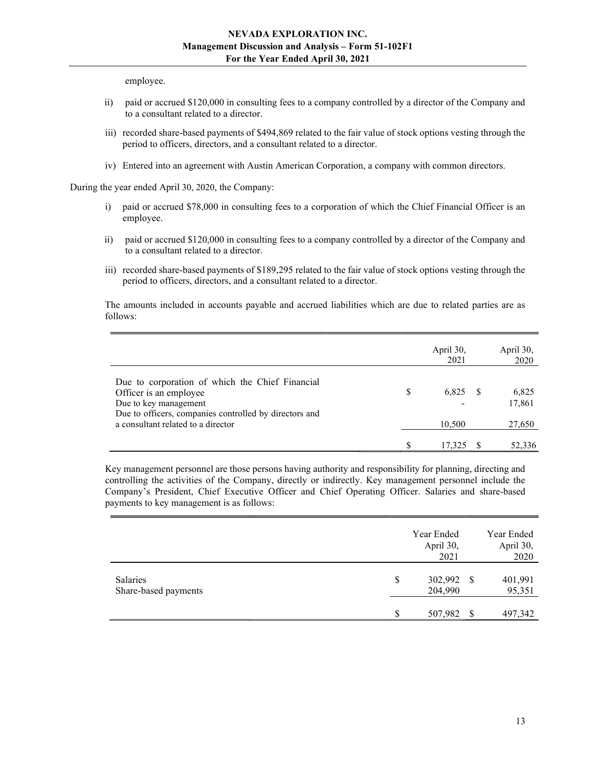employee.

- ii) paid or accrued \$120,000 in consulting fees to a company controlled by a director of the Company and to a consultant related to a director.
- iii) recorded share-based payments of \$494,869 related to the fair value of stock options vesting through the period to officers, directors, and a consultant related to a director.
- iv) Entered into an agreement with Austin American Corporation, a company with common directors.

During the year ended April 30, 2020, the Company:

- i) paid or accrued \$78,000 in consulting fees to a corporation of which the Chief Financial Officer is an employee.
- ii) paid or accrued \$120,000 in consulting fees to a company controlled by a director of the Company and to a consultant related to a director.
- iii) recorded share-based payments of \$189,295 related to the fair value of stock options vesting through the period to officers, directors, and a consultant related to a director.

The amounts included in accounts payable and accrued liabilities which are due to related parties are as follows:

|                                                                                                                                                              | April 30,<br>2021 | April 30,<br>2020 |
|--------------------------------------------------------------------------------------------------------------------------------------------------------------|-------------------|-------------------|
| Due to corporation of which the Chief Financial<br>Officer is an employee<br>Due to key management<br>Due to officers, companies controlled by directors and | \$<br>6,825       | 6,825<br>17,861   |
| a consultant related to a director                                                                                                                           | 10,500            | 27,650            |
|                                                                                                                                                              | 17,325            | 52,336            |

Key management personnel are those persons having authority and responsibility for planning, directing and controlling the activities of the Company, directly or indirectly. Key management personnel include the Company's President, Chief Executive Officer and Chief Operating Officer. Salaries and share-based payments to key management is as follows:

|                                  | Year Ended<br>April 30,<br>2021 |    | Year Ended<br>April 30,<br>2020 |
|----------------------------------|---------------------------------|----|---------------------------------|
| Salaries<br>Share-based payments | \$<br>302,992 \$<br>204,990     |    | 401,991<br>95,351               |
|                                  | \$<br>507,982                   | -S | 497,342                         |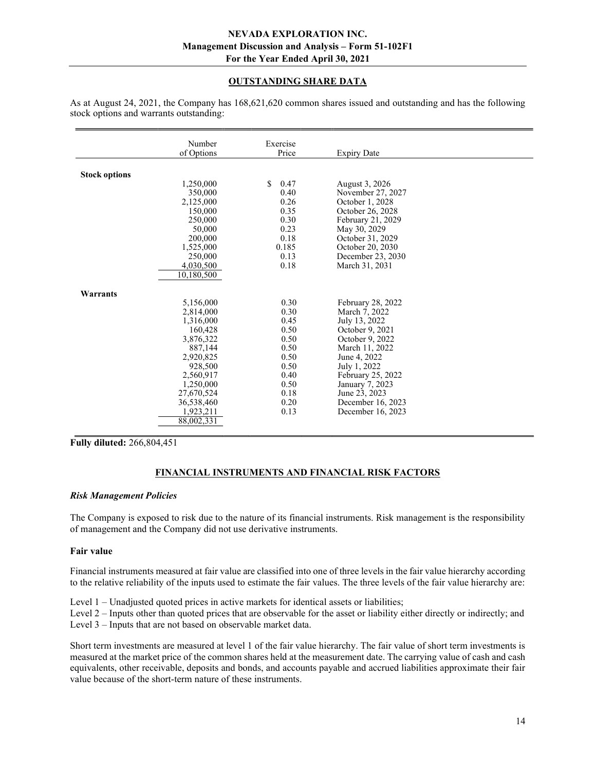# OUTSTANDING SHARE DATA

|                      | Number     | Exercise   |                    |  |
|----------------------|------------|------------|--------------------|--|
|                      | of Options | Price      | <b>Expiry Date</b> |  |
|                      |            |            |                    |  |
|                      |            |            |                    |  |
| <b>Stock options</b> |            |            |                    |  |
|                      | 1,250,000  | \$<br>0.47 | August 3, 2026     |  |
|                      | 350,000    | 0.40       | November 27, 2027  |  |
|                      | 2,125,000  | 0.26       | October 1, 2028    |  |
|                      | 150,000    | 0.35       | October 26, 2028   |  |
|                      | 250,000    | 0.30       | February 21, 2029  |  |
|                      | 50,000     | 0.23       | May 30, 2029       |  |
|                      | 200,000    | 0.18       | October 31, 2029   |  |
|                      | 1,525,000  | 0.185      | October 20, 2030   |  |
|                      | 250,000    | 0.13       | December 23, 2030  |  |
|                      | 4,030,500  | 0.18       | March 31, 2031     |  |
|                      | 10,180,500 |            |                    |  |
|                      |            |            |                    |  |
| Warrants             |            |            |                    |  |
|                      | 5,156,000  | 0.30       | February 28, 2022  |  |
|                      | 2,814,000  | 0.30       | March 7, 2022      |  |
|                      | 1,316,000  | 0.45       | July 13, 2022      |  |
|                      | 160,428    | 0.50       | October 9, 2021    |  |
|                      | 3,876,322  | 0.50       | October 9, 2022    |  |
|                      | 887,144    | 0.50       | March 11, 2022     |  |
|                      | 2,920,825  | 0.50       | June 4, 2022       |  |
|                      | 928,500    | 0.50       | July 1, 2022       |  |
|                      | 2,560,917  | 0.40       | February 25, 2022  |  |
|                      | 1,250,000  | 0.50       | January 7, 2023    |  |
|                      | 27,670,524 | 0.18       | June 23, 2023      |  |
|                      | 36,538,460 | 0.20       | December 16, 2023  |  |
|                      | 1,923,211  | 0.13       | December 16, 2023  |  |
|                      | 88,002,331 |            |                    |  |
|                      |            |            |                    |  |

As at August 24, 2021, the Company has 168,621,620 common shares issued and outstanding and has the following stock options and warrants outstanding:

Fully diluted: 266,804,451

## FINANCIAL INSTRUMENTS AND FINANCIAL RISK FACTORS

#### Risk Management Policies

The Company is exposed to risk due to the nature of its financial instruments. Risk management is the responsibility of management and the Company did not use derivative instruments.

#### Fair value

Financial instruments measured at fair value are classified into one of three levels in the fair value hierarchy according to the relative reliability of the inputs used to estimate the fair values. The three levels of the fair value hierarchy are:

Level 1 – Unadjusted quoted prices in active markets for identical assets or liabilities;

Level 2 – Inputs other than quoted prices that are observable for the asset or liability either directly or indirectly; and

Level 3 – Inputs that are not based on observable market data.

Short term investments are measured at level 1 of the fair value hierarchy. The fair value of short term investments is measured at the market price of the common shares held at the measurement date. The carrying value of cash and cash equivalents, other receivable, deposits and bonds, and accounts payable and accrued liabilities approximate their fair value because of the short-term nature of these instruments.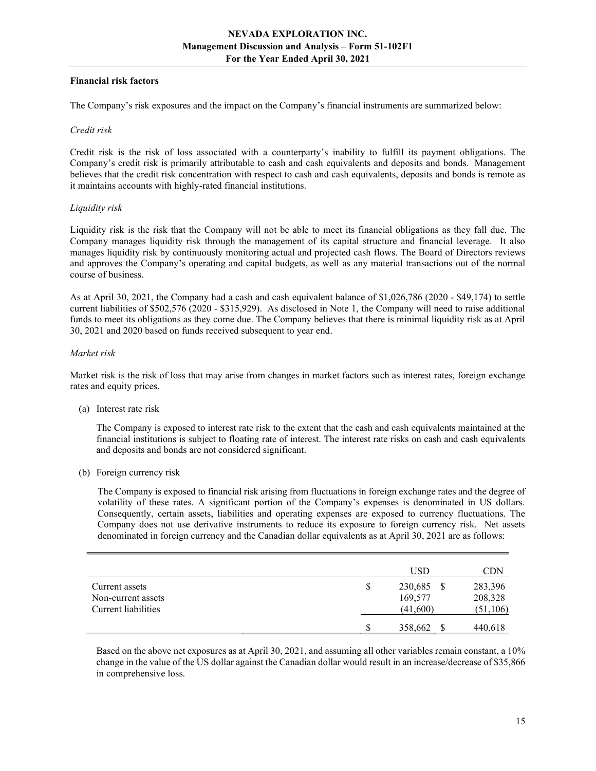# Financial risk factors

The Company's risk exposures and the impact on the Company's financial instruments are summarized below:

#### Credit risk

Credit risk is the risk of loss associated with a counterparty's inability to fulfill its payment obligations. The Company's credit risk is primarily attributable to cash and cash equivalents and deposits and bonds. Management believes that the credit risk concentration with respect to cash and cash equivalents, deposits and bonds is remote as it maintains accounts with highly-rated financial institutions.

## Liquidity risk

Liquidity risk is the risk that the Company will not be able to meet its financial obligations as they fall due. The Company manages liquidity risk through the management of its capital structure and financial leverage. It also manages liquidity risk by continuously monitoring actual and projected cash flows. The Board of Directors reviews and approves the Company's operating and capital budgets, as well as any material transactions out of the normal course of business.

As at April 30, 2021, the Company had a cash and cash equivalent balance of \$1,026,786 (2020 - \$49,174) to settle current liabilities of \$502,576 (2020 - \$315,929). As disclosed in Note 1, the Company will need to raise additional funds to meet its obligations as they come due. The Company believes that there is minimal liquidity risk as at April 30, 2021 and 2020 based on funds received subsequent to year end.

## Market risk

Market risk is the risk of loss that may arise from changes in market factors such as interest rates, foreign exchange rates and equity prices.

(a) Interest rate risk

 The Company is exposed to interest rate risk to the extent that the cash and cash equivalents maintained at the financial institutions is subject to floating rate of interest. The interest rate risks on cash and cash equivalents and deposits and bonds are not considered significant.

(b) Foreign currency risk

The Company is exposed to financial risk arising from fluctuations in foreign exchange rates and the degree of volatility of these rates. A significant portion of the Company's expenses is denominated in US dollars. Consequently, certain assets, liabilities and operating expenses are exposed to currency fluctuations. The Company does not use derivative instruments to reduce its exposure to foreign currency risk. Net assets denominated in foreign currency and the Canadian dollar equivalents as at April 30, 2021 are as follows:

|                                                             | USD                                  | <b>CDN</b>                      |
|-------------------------------------------------------------|--------------------------------------|---------------------------------|
| Current assets<br>Non-current assets<br>Current liabilities | \$<br>230,685<br>169,577<br>(41,600) | 283,396<br>208,328<br>(51, 106) |
|                                                             | 358,662                              | 440,618                         |

Based on the above net exposures as at April 30, 2021, and assuming all other variables remain constant, a 10% change in the value of the US dollar against the Canadian dollar would result in an increase/decrease of \$35,866 in comprehensive loss.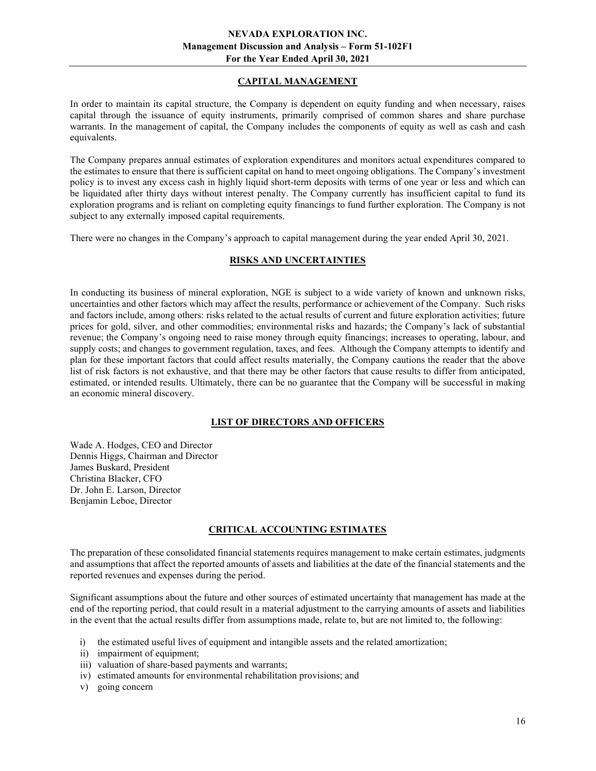# CAPITAL MANAGEMENT

In order to maintain its capital structure, the Company is dependent on equity funding and when necessary, raises capital through the issuance of equity instruments, primarily comprised of common shares and share purchase warrants. In the management of capital, the Company includes the components of equity as well as cash and cash equivalents.

The Company prepares annual estimates of exploration expenditures and monitors actual expenditures compared to the estimates to ensure that there is sufficient capital on hand to meet ongoing obligations. The Company's investment policy is to invest any excess cash in highly liquid short-term deposits with terms of one year or less and which can be liquidated after thirty days without interest penalty. The Company currently has insufficient capital to fund its exploration programs and is reliant on completing equity financings to fund further exploration. The Company is not subject to any externally imposed capital requirements.

There were no changes in the Company's approach to capital management during the year ended April 30, 2021.

# RISKS AND UNCERTAINTIES

In conducting its business of mineral exploration, NGE is subject to a wide variety of known and unknown risks, uncertainties and other factors which may affect the results, performance or achievement of the Company. Such risks and factors include, among others: risks related to the actual results of current and future exploration activities; future prices for gold, silver, and other commodities; environmental risks and hazards; the Company's lack of substantial revenue; the Company's ongoing need to raise money through equity financings; increases to operating, labour, and supply costs; and changes to government regulation, taxes, and fees. Although the Company attempts to identify and plan for these important factors that could affect results materially, the Company cautions the reader that the above list of risk factors is not exhaustive, and that there may be other factors that cause results to differ from anticipated, estimated, or intended results. Ultimately, there can be no guarantee that the Company will be successful in making an economic mineral discovery.

## LIST OF DIRECTORS AND OFFICERS

Wade A. Hodges, CEO and Director Dennis Higgs, Chairman and Director James Buskard, President Christina Blacker, CFO Dr. John E. Larson, Director Benjamin Leboe, Director

## CRITICAL ACCOUNTING ESTIMATES

The preparation of these consolidated financial statements requires management to make certain estimates, judgments and assumptions that affect the reported amounts of assets and liabilities at the date of the financial statements and the reported revenues and expenses during the period.

Significant assumptions about the future and other sources of estimated uncertainty that management has made at the end of the reporting period, that could result in a material adjustment to the carrying amounts of assets and liabilities in the event that the actual results differ from assumptions made, relate to, but are not limited to, the following:

- i) the estimated useful lives of equipment and intangible assets and the related amortization;
- ii) impairment of equipment;
- iii) valuation of share-based payments and warrants;
- iv) estimated amounts for environmental rehabilitation provisions; and
- v) going concern